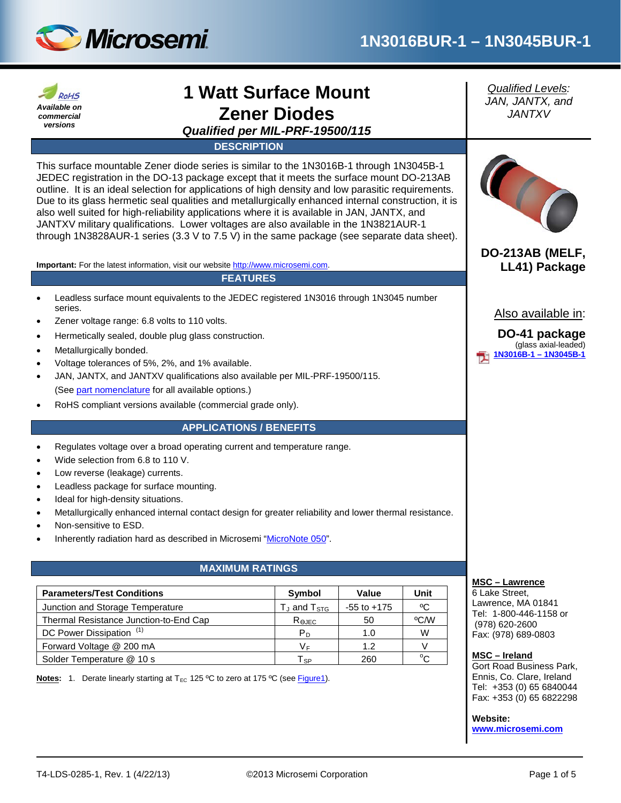



# **1 Watt Surface Mount Zener Diodes**

*Qualified per MIL-PRF-19500/115*

**DESCRIPTION**

This surface mountable Zener diode series is similar to the 1N3016B-1 through 1N3045B-1 JEDEC registration in the DO-13 package except that it meets the surface mount DO-213AB outline. It is an ideal selection for applications of high density and low parasitic requirements. Due to its glass hermetic seal qualities and metallurgically enhanced internal construction, it is also well suited for high-reliability applications where it is available in JAN, JANTX, and JANTXV military qualifications. Lower voltages are also available in the 1N3821AUR-1 through 1N3828AUR-1 series (3.3 V to 7.5 V) in the same package (see separate data sheet).

**Important:** For the latest information, visit our website [http://www.microsemi.com.](http://www.microsemi.com/)

#### **FEATURES**

- Leadless surface mount equivalents to the JEDEC registered 1N3016 through 1N3045 number series.
- Zener voltage range: 6.8 volts to 110 volts.
- Hermetically sealed, double plug glass construction.
- Metallurgically bonded.
- Voltage tolerances of 5%, 2%, and 1% available.
- JAN, JANTX, and JANTXV qualifications also available per MIL-PRF-19500/115. (Se[e part nomenclature](#page-1-0) for all available options.)
- RoHS compliant versions available (commercial grade only).

#### **APPLICATIONS / BENEFITS**

- Regulates voltage over a broad operating current and temperature range.
- Wide selection from 6.8 to 110 V.
- Low reverse (leakage) currents.
- Leadless package for surface mounting.
- Ideal for high-density situations.
- Metallurgically enhanced internal contact design for greater reliability and lower thermal resistance.
- Non-sensitive to ESD.
- Inherently radiation hard as described in Microsemi ["MicroNote 050"](http://www.microsemi.com/en/sites/default/files/micnotes/050.pdf).

## **MAXIMUM RATINGS**

| <b>Parameters/Test Conditions</b>      | Symbol              | Value           | Unit |
|----------------------------------------|---------------------|-----------------|------|
| Junction and Storage Temperature       | $T_J$ and $T_{STG}$ | $-55$ to $+175$ | ٥C   |
| Thermal Resistance Junction-to-End Cap | Rejec               | 50              | °C∕W |
| DC Power Dissipation <sup>(1)</sup>    | P <sub>D</sub>      | 1.0             | W    |
| Forward Voltage @ 200 mA               | V⊧                  | 1.2             |      |
| Solder Temperature @ 10 s              | l sp                | 260             |      |

**Notes:** 1. Derate linearly starting at T<sub>EC</sub> 125 °C to zero at 175 °C (see **Figure1**).

*Qualified Levels: JAN, JANTX, and JANTXV*



**DO-213AB (MELF, LL41) Package**

Also available in:

**DO-41 package** (glass axial-leaded) **[1N3016B-1 –](http://www.microsemi.com/existing-parts/parts/14058#docs-specs) 1N3045B-1**

#### **MSC – Lawrence**

6 Lake Street, Lawrence, MA 01841 Tel: 1-800-446-1158 or (978) 620-2600 Fax: (978) 689-0803

#### **MSC – Ireland**

Gort Road Business Park, Ennis, Co. Clare, Ireland Tel: +353 (0) 65 6840044 Fax: +353 (0) 65 6822298

#### **Website:**

**[www.microsemi.com](http://www.microsemi.com/)**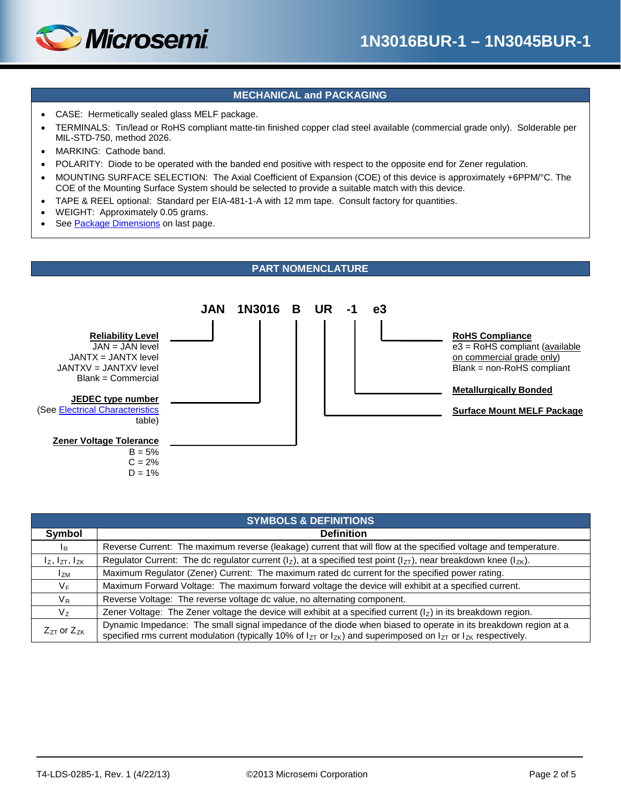

## **MECHANICAL and PACKAGING**

- CASE: Hermetically sealed glass MELF package.
- TERMINALS: Tin/lead or RoHS compliant matte-tin finished copper clad steel available (commercial grade only). Solderable per MIL-STD-750, method 2026.
- MARKING: Cathode band.
- POLARITY: Diode to be operated with the banded end positive with respect to the opposite end for Zener regulation.
- MOUNTING SURFACE SELECTION: The Axial Coefficient of Expansion (COE) of this device is approximately +6PPM/°C. The COE of the Mounting Surface System should be selected to provide a suitable match with this device.
- TAPE & REEL optional: Standard per EIA-481-1-A with 12 mm tape. Consult factory for quantities.
- WEIGHT: Approximately 0.05 grams.
- See [Package Dimensions](#page-4-0) on last page.

#### **PART NOMENCLATURE**

<span id="page-1-0"></span>

| <b>SYMBOLS &amp; DEFINITIONS</b> |                                                                                                                                                                                                                                                    |  |  |  |
|----------------------------------|----------------------------------------------------------------------------------------------------------------------------------------------------------------------------------------------------------------------------------------------------|--|--|--|
| Symbol                           | <b>Definition</b>                                                                                                                                                                                                                                  |  |  |  |
| $I_R$                            | Reverse Current: The maximum reverse (leakage) current that will flow at the specified voltage and temperature.                                                                                                                                    |  |  |  |
| $I_z$ , $I_{ZT}$ , $I_{ZK}$      | Regulator Current: The dc regulator current ( $I_z$ ), at a specified test point ( $I_{zT}$ ), near breakdown knee ( $I_{zK}$ ).                                                                                                                   |  |  |  |
| l <sub>ZM</sub>                  | Maximum Regulator (Zener) Current: The maximum rated dc current for the specified power rating.                                                                                                                                                    |  |  |  |
| V <sub>F</sub>                   | Maximum Forward Voltage: The maximum forward voltage the device will exhibit at a specified current.                                                                                                                                               |  |  |  |
| $V_R$                            | Reverse Voltage: The reverse voltage dc value, no alternating component.                                                                                                                                                                           |  |  |  |
| V <sub>z</sub>                   | Zener Voltage: The Zener voltage the device will exhibit at a specified current $(lz)$ in its breakdown region.                                                                                                                                    |  |  |  |
| $Z_{ZT}$ or $Z_{ZK}$             | Dynamic Impedance: The small signal impedance of the diode when biased to operate in its breakdown region at a<br>specified rms current modulation (typically 10% of $I_{ZT}$ or $I_{ZK}$ ) and superimposed on $I_{ZT}$ or $I_{ZK}$ respectively. |  |  |  |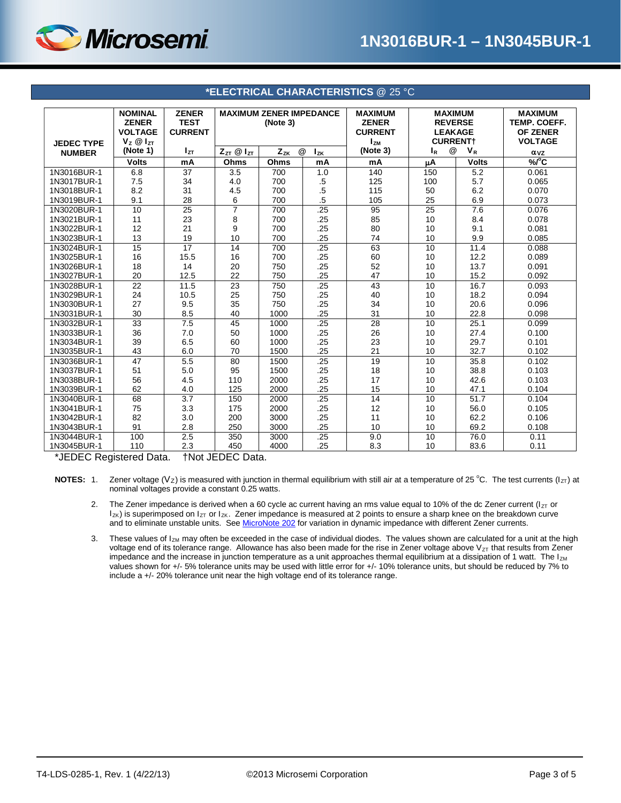

<span id="page-2-0"></span>

| <b>JEDEC TYPE</b>                 | <b>NOMINAL</b><br><b>ZENER</b><br><b>VOLTAGE</b><br>$V_z \otimes I_{ZT}$ | <b>ZENER</b><br><b>TEST</b><br><b>CURRENT</b> | <b>MAXIMUM ZENER IMPEDANCE</b><br>(Note 3) |               | <b>MAXIMUM</b><br><b>ZENER</b><br><b>CURRENT</b><br><b>IzM</b> | <b>MAXIMUM</b><br><b>REVERSE</b><br><b>LEAKAGE</b><br><b>CURRENT+</b> |                 | <b>MAXIMUM</b><br>TEMP. COEFF.<br><b>OF ZENER</b><br><b>VOLTAGE</b> |                        |
|-----------------------------------|--------------------------------------------------------------------------|-----------------------------------------------|--------------------------------------------|---------------|----------------------------------------------------------------|-----------------------------------------------------------------------|-----------------|---------------------------------------------------------------------|------------------------|
| <b>NUMBER</b>                     | (Note 1)                                                                 | I <sub>zτ</sub>                               | $Z_{ZT}$ $@$ $I_{ZT}$                      | @<br>$Z_{ZK}$ | $I_{ZK}$                                                       | (Note 3)                                                              | @<br>ΙR         | $V_R$                                                               | $\alpha$ <sub>VZ</sub> |
|                                   | <b>Volts</b>                                                             | mA                                            | Ohms                                       | Ohms          | mA                                                             | mA                                                                    | μA              | <b>Volts</b>                                                        | $\sqrt[9]{C}$          |
| 1N3016BUR-1                       | 6.8                                                                      | 37                                            | 3.5                                        | 700           | 1.0                                                            | 140                                                                   | 150             | 5.2                                                                 | 0.061                  |
| 1N3017BUR-1                       | 7.5                                                                      | 34                                            | 4.0                                        | 700           | $.5\,$                                                         | 125                                                                   | 100             | 5.7                                                                 | 0.065                  |
| 1N3018BUR-1                       | 8.2                                                                      | 31                                            | 4.5                                        | 700           | .5                                                             | 115                                                                   | 50              | 6.2                                                                 | 0.070                  |
| 1N3019BUR-1                       | 9.1                                                                      | 28                                            | 6                                          | 700           | .5                                                             | 105                                                                   | 25              | 6.9                                                                 | 0.073                  |
| 1N3020BUR-1                       | 10                                                                       | $\overline{25}$                               | 7                                          | 700           | .25                                                            | 95                                                                    | $\overline{25}$ | 7.6                                                                 | 0.076                  |
| 1N3021BUR-1                       | 11                                                                       | 23                                            | 8                                          | 700           | .25                                                            | 85                                                                    | 10              | 8.4                                                                 | 0.078                  |
| 1N3022BUR-1                       | 12                                                                       | 21                                            | 9                                          | 700           | .25                                                            | 80                                                                    | 10              | 9.1                                                                 | 0.081                  |
| 1N3023BUR-1                       | 13                                                                       | 19                                            | 10                                         | 700           | .25                                                            | 74                                                                    | 10              | 9.9                                                                 | 0.085                  |
| 1N3024BUR-1                       | $\overline{15}$                                                          | $\overline{17}$                               | 14                                         | 700           | .25                                                            | 63                                                                    | 10              | 11.4                                                                | 0.088                  |
| 1N3025BUR-1                       | 16                                                                       | 15.5                                          | 16                                         | 700           | .25                                                            | 60                                                                    | 10              | 12.2                                                                | 0.089                  |
| 1N3026BUR-1                       | 18                                                                       | 14                                            | 20                                         | 750           | .25                                                            | 52                                                                    | 10              | 13.7                                                                | 0.091                  |
| 1N3027BUR-1                       | 20                                                                       | 12.5                                          | 22                                         | 750           | .25                                                            | 47                                                                    | 10              | 15.2                                                                | 0.092                  |
| 1N3028BUR-1                       | 22                                                                       | 11.5                                          | 23                                         | 750           | .25                                                            | 43                                                                    | 10              | 16.7                                                                | 0.093                  |
| 1N3029BUR-1                       | 24                                                                       | 10.5                                          | 25                                         | 750           | .25                                                            | 40                                                                    | 10              | 18.2                                                                | 0.094                  |
| 1N3030BUR-1                       | 27                                                                       | 9.5                                           | 35                                         | 750           | .25                                                            | 34                                                                    | 10              | 20.6                                                                | 0.096                  |
| 1N3031BUR-1                       | 30                                                                       | 8.5                                           | 40                                         | 1000          | .25                                                            | 31                                                                    | 10              | 22.8                                                                | 0.098                  |
| 1N3032BUR-1                       | $\overline{33}$                                                          | 7.5                                           | 45                                         | 1000          | .25                                                            | 28                                                                    | 10              | 25.1                                                                | 0.099                  |
| 1N3033BUR-1                       | 36                                                                       | 7.0                                           | 50                                         | 1000          | .25                                                            | 26                                                                    | 10              | 27.4                                                                | 0.100                  |
| 1N3034BUR-1                       | 39                                                                       | 6.5                                           | 60                                         | 1000          | .25                                                            | 23                                                                    | 10              | 29.7                                                                | 0.101                  |
| 1N3035BUR-1                       | 43                                                                       | 6.0                                           | 70                                         | 1500          | .25                                                            | 21                                                                    | 10              | 32.7                                                                | 0.102                  |
| 1N3036BUR-1                       | $\overline{47}$                                                          | 5.5                                           | 80                                         | 1500          | .25                                                            | 19                                                                    | 10              | 35.8                                                                | 0.102                  |
| 1N3037BUR-1                       | 51                                                                       | 5.0                                           | 95                                         | 1500          | .25                                                            | 18                                                                    | 10              | 38.8                                                                | 0.103                  |
| 1N3038BUR-1                       | 56                                                                       | 4.5                                           | 110                                        | 2000          | .25                                                            | 17                                                                    | 10              | 42.6                                                                | 0.103                  |
| 1N3039BUR-1                       | 62                                                                       | 4.0                                           | 125                                        | 2000          | .25                                                            | 15                                                                    | 10              | 47.1                                                                | 0.104                  |
| 1N3040BUR-1                       | 68                                                                       | $\overline{3.7}$                              | 150                                        | 2000          | .25                                                            | 14                                                                    | $\overline{10}$ | 51.7                                                                | 0.104                  |
| 1N3041BUR-1                       | 75                                                                       | 3.3                                           | 175                                        | 2000          | .25                                                            | 12                                                                    | 10              | 56.0                                                                | 0.105                  |
| 1N3042BUR-1                       | 82                                                                       | 3.0                                           | 200                                        | 3000          | .25                                                            | 11                                                                    | 10              | 62.2                                                                | 0.106                  |
| 1N3043BUR-1                       | 91                                                                       | 2.8                                           | 250                                        | 3000          | .25                                                            | 10                                                                    | 10              | 69.2                                                                | 0.108                  |
| 1N3044BUR-1                       | 100                                                                      | 2.5                                           | 350                                        | 3000          | .25                                                            | 9.0                                                                   | 10              | 76.0                                                                | 0.11                   |
| 1N3045BUR-1<br>$*$ IFREQ Research | 110<br>$\mathbf{1}$ $\mathbf{B}$ $\mathbf{A}$                            | 2.3                                           | 450<br>$111.1$ $17577.5$                   | 4000          | .25                                                            | 8.3                                                                   | 10              | 83.6                                                                | 0.11                   |

#### **\*ELECTRICAL CHARACTERISTICS** @ 25 °C

\*JEDEC Registered Data. †Not JEDEC Data.

NOTES: 1. Zener voltage (V<sub>Z</sub>) is measured with junction in thermal equilibrium with still air at a temperature of 25 °C. The test currents (I<sub>ZT</sub>) at nominal voltages provide a constant 0.25 watts.

2. The Zener impedance is derived when a 60 cycle ac current having an rms value equal to 10% of the dc Zener current ( $I_{ZT}$  or  $I_{ZK}$ ) is superimposed on  $I_{ZT}$  or  $I_{ZK}$ . Zener impedance is measured at 2 points to ensure a sharp knee on the breakdown curve and to eliminate unstable units. Se[e MicroNote 202](http://www.microsemi.com/en/sites/default/files/micnotes/202.pdf) for variation in dynamic impedance with different Zener currents.

3. These values of  $I_{ZM}$  may often be exceeded in the case of individual diodes. The values shown are calculated for a unit at the high voltage end of its tolerance range. Allowance has also been made for the rise in Zener voltage above  $V_{ZT}$  that results from Zener impedance and the increase in junction temperature as a unit approaches thermal equilibrium at a dissipation of 1 watt. The  $I_{ZM}$ values shown for +/- 5% tolerance units may be used with little error for +/- 10% tolerance units, but should be reduced by 7% to include a +/- 20% tolerance unit near the high voltage end of its tolerance range.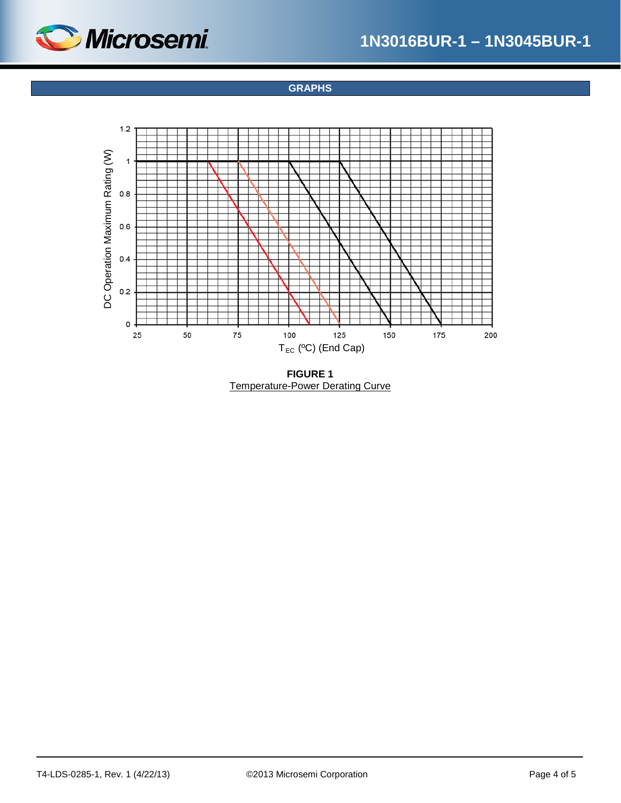<span id="page-3-0"></span>

**GRAPHS**



**FIGURE 1** Temperature-Power Derating Curve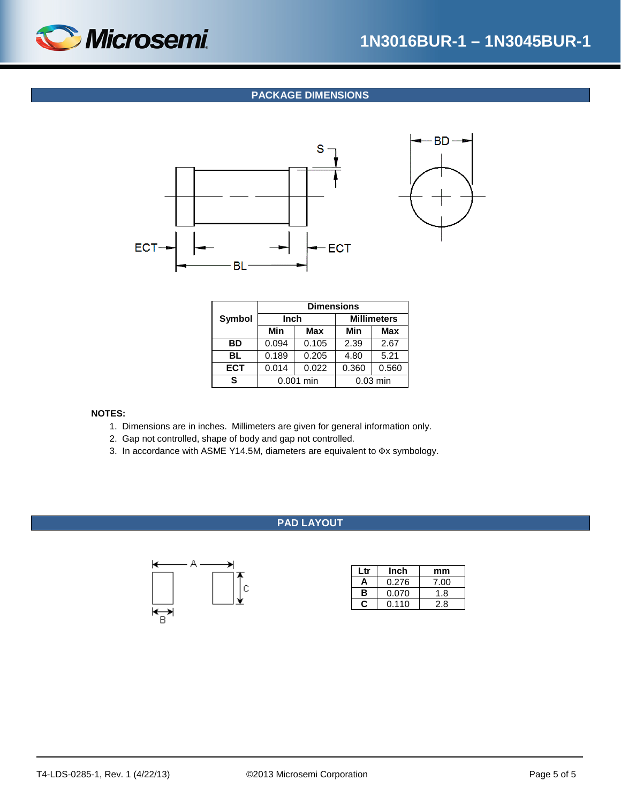<span id="page-4-0"></span>

## **PACKAGE DIMENSIONS**



|            | <b>Dimensions</b> |            |       |                    |  |
|------------|-------------------|------------|-------|--------------------|--|
| Symbol     | Inch              |            |       | <b>Millimeters</b> |  |
|            | Min               | <b>Max</b> | Min   | <b>Max</b>         |  |
| ВD         | 0.094             | 0.105      | 2.39  | 2.67               |  |
| BL         | 0.189             | 0.205      | 4.80  | 5.21               |  |
| <b>ECT</b> | 0.014             | 0.022      | 0.360 | 0.560              |  |
|            | 0.001 min         |            |       | $0.03$ min         |  |

#### **NOTES:**

- 1. Dimensions are in inches. Millimeters are given for general information only.
- 2. Gap not controlled, shape of body and gap not controlled.
- 3. In accordance with ASME Y14.5M, diameters are equivalent to Φx symbology.

### **PAD LAYOUT**



| l tr       | Inch  | mm   |
|------------|-------|------|
| 0.276<br>Α |       | 7.00 |
| в<br>0.070 |       | 1.8  |
|            | 0.110 | 2.8  |